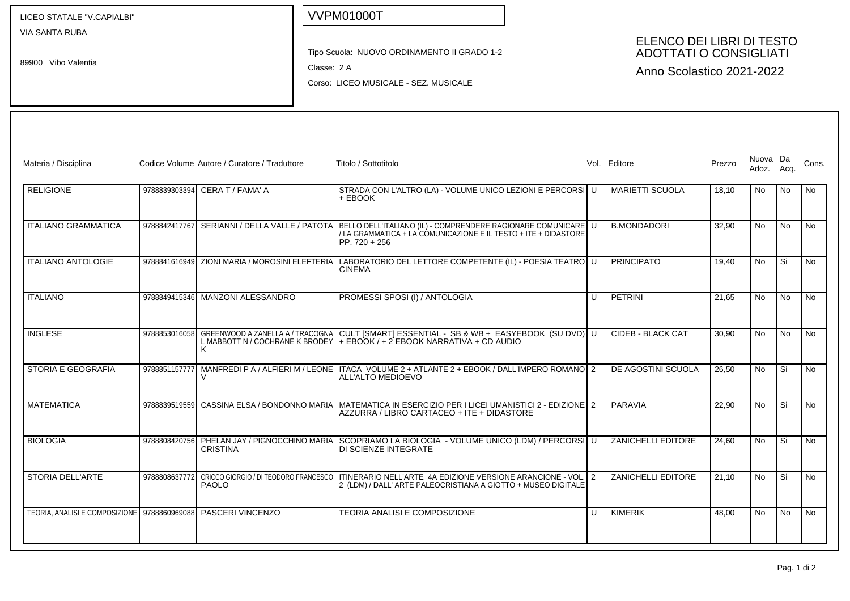LICEO STATALE "V.CAPIALBI"

VIA SANTA RUBA

89900 Vibo Valentia

## VVPM01000T

Tipo Scuola: NUOVO ORDINAMENTO II GRADO 1-2

Classe: 2 A

Corso: LICEO MUSICALE - SEZ. MUSICALE

## ELENCO DEI LIBRI DI TESTO ADOTTATI O CONSIGLIATI

Anno Scolastico 2021-2022

| Materia / Disciplina                           |               | Codice Volume Autore / Curatore / Traduttore                             | Titolo / Sottotitolo                                                                                                                                                |                | Vol. Editore              | Prezzo | Nuova Da<br>Adoz. | Acq.           | Cons.     |
|------------------------------------------------|---------------|--------------------------------------------------------------------------|---------------------------------------------------------------------------------------------------------------------------------------------------------------------|----------------|---------------------------|--------|-------------------|----------------|-----------|
| <b>RELIGIONE</b>                               |               | 9788839303394 CERA T / FAMA' A                                           | STRADA CON L'ALTRO (LA) - VOLUME UNICO LEZIONI E PERCORSI U<br>+ EBOOK                                                                                              |                | <b>MARIETTI SCUOLA</b>    | 18.10  | No                | No.            | No        |
| <b>ITALIANO GRAMMATICA</b>                     | 9788842417767 | SERIANNI / DELLA VALLE / PATOTA                                          | BELLO DELL'ITALIANO (IL) - COMPRENDERE RAGIONARE COMUNICARE   U<br>/ LA GRAMMATICA + LA CÓMUNICAZIONE E IL TESTO + ITE + DIDASTORE<br>$PP.720 + 256$                |                | <b>B.MONDADORI</b>        | 32,90  | No                | <b>No</b>      | No.       |
| <b>ITALIANO ANTOLOGIE</b>                      |               | 9788841616949 ZIONI MARIA / MOROSINI ELEFTERIA                           | LABORATORIO DEL LETTORE COMPETENTE (IL) - POESIA TEATRO U<br><b>CINEMA</b>                                                                                          |                | <b>PRINCIPATO</b>         | 19.40  | <b>No</b>         | Si             | No        |
| <b>ITALIANO</b>                                |               | 9788849415346 MANZONI ALESSANDRO                                         | PROMESSI SPOSI (I) / ANTOLOGIA                                                                                                                                      | $\mathbf{H}$   | <b>I</b> PETRINI          | 21,65  | <b>No</b>         | N <sub>o</sub> | <b>No</b> |
| <b>INGLESE</b>                                 | 9788853016058 | GREENWOOD A ZANELLA A / TRACOGNA<br>L MABBOTT N / COCHRANE K BRODEY<br>Κ | CULT [SMART] ESSENTIAL - SB & WB + EASYEBOOK (SU DVD) U<br>$+$ EBOOK / + 2 EBOOK NARRATIVA + CD AUDIO                                                               |                | <b>CIDEB - BLACK CAT</b>  | 30,90  | <b>No</b>         | No.            | <b>No</b> |
| <b>STORIA E GEOGRAFIA</b>                      | 9788851157777 | MANFREDI P A / ALFIERI M / LEONE                                         | ITACA VOLUME 2 + ATLANTE 2 + EBOOK / DALL'IMPERO ROMANO 2<br>ALL'ALTO MEDIOEVO                                                                                      |                | DE AGOSTINI SCUOLA        | 26,50  | <b>No</b>         | Si             | <b>No</b> |
| <b>MATEMATICA</b>                              | 9788839519559 | CASSINA ELSA / BONDONNO MARIA                                            | MATEMATICA IN ESERCIZIO PER I LICEI UMANISTICI 2 - EDIZIONE 2<br>AZZURRA / LIBRO CARTACEO + ITE + DIDASTORE                                                         |                | PARAVIA                   | 22,90  | No                | Si             | <b>No</b> |
| <b>BIOLOGIA</b>                                |               | <b>CRISTINA</b>                                                          | 9788808420756   PHELAN JAY / PIGNOCCHINO MARIA   SCOPRIAMO LA BIOLOGIA - VOLUME UNICO (LDM) / PERCORSI   U<br>DI SCIENZE INTEGRATE                                  |                | <b>ZANICHELLI EDITORE</b> | 24.60  | No.               | Si             | <b>No</b> |
| STORIA DELL'ARTE                               | 9788808637772 | <b>PAOLO</b>                                                             | CRICCO GIORGIO / DI TEODORO FRANCESCO I ITINERARIO NELL'ARTE 4A EDIZIONE VERSIONE ARANCIONE - VOL.<br>2 (LDM) / DALL' ARTE PALEOCRISTIANA A GIOTTO + MUSEO DIGITALE | $\overline{2}$ | ZANICHELLI EDITORE        | 21.10  | <b>No</b>         | Si             | <b>No</b> |
| TEORIA. ANALISI E COMPOSIZIONE   9788860969088 |               | PASCERI VINCENZO                                                         | <b>TEORIA ANALISI E COMPOSIZIONE</b>                                                                                                                                | LΠ             | KIMERIK                   | 48.00  | <b>No</b>         | <b>No</b>      | No        |